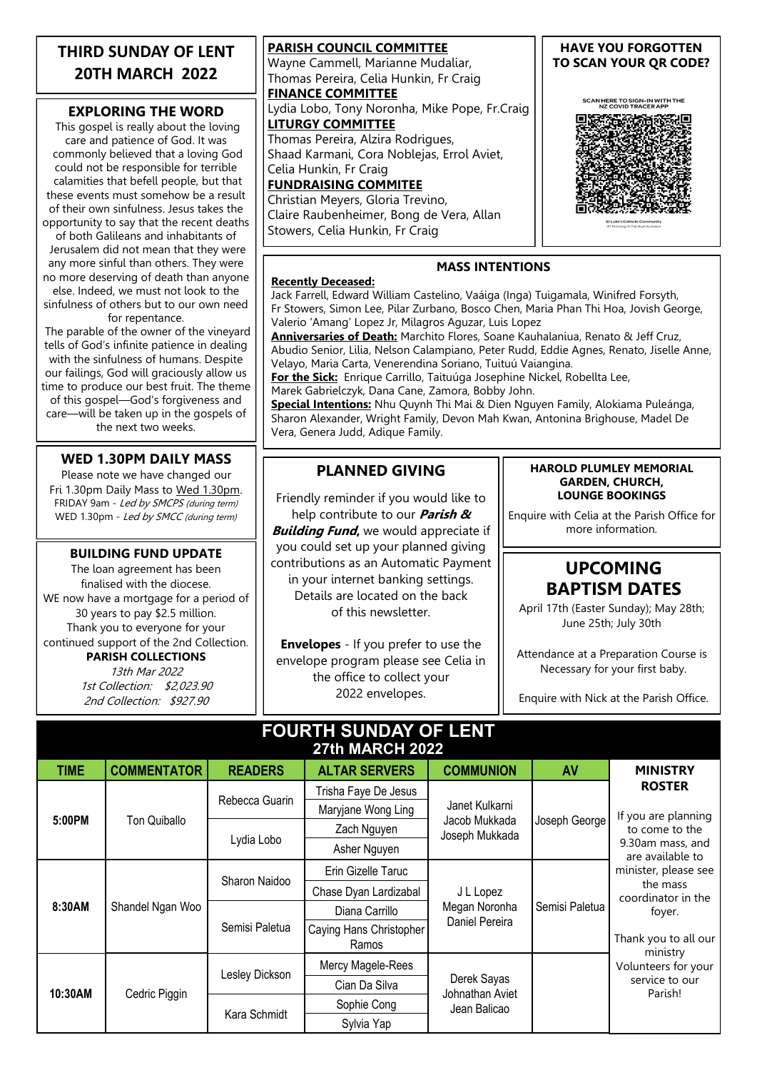### **THIRD SUNDAY OF LENT 20TH MARCH 2022**

### **EXPLORING THE WORD**

This gospel is really about the loving care and patience of God. It was commonly believed that a loving God could not be responsible for terrible calamities that befell people, but that these events must somehow be a result of their own sinfulness. Jesus takes the opportunity to say that the recent deaths

of both Galileans and inhabitants of Jerusalem did not mean that they were any more sinful than others. They were no more deserving of death than anyone else. Indeed, we must not look to the

sinfulness of others but to our own need for repentance.

The parable of the owner of the vineyard tells of God's infinite patience in dealing with the sinfulness of humans. Despite our failings, God will graciously allow us time to produce our best fruit. The theme of this gospel—God's forgiveness and care—will be taken up in the gospels of the next two weeks.

### **WED 1.30PM DAILY MASS**

Please note we have changed our Fri 1.30pm Daily Mass to Wed 1.30pm. FRIDAY 9am - Led by SMCPS (during term) WED 1.30pm - Led by SMCC (during term)

#### **BUILDING FUND UPDATE**

The loan agreement has been finalised with the diocese. WE now have a mortgage for a period of 30 years to pay \$2.5 million. Thank you to everyone for your continued support of the 2nd Collection.

### **PARISH COLLECTIONS**

13th Mar 2022 1st Collection: \$2,023.90 2nd Collection: \$927.90

**PARISH COUNCIL COMMITTEE** Wayne Cammell, Marianne Mudaliar, Thomas Pereira, Celia Hunkin, Fr Craig **FINANCE COMMITTEE** Lydia Lobo, Tony Noronha, Mike Pope, Fr.Craig **LITURGY COMMITTEE** Thomas Pereira, Alzira Rodrigues, Shaad Karmani, Cora Noblejas, Errol Aviet, Celia Hunkin, Fr Craig **FUNDRAISING COMMITEE** Christian Meyers, Gloria Trevino,

Claire Raubenheimer, Bong de Vera, Allan Stowers, Celia Hunkin, Fr Craig

### **HAVE YOU FORGOTTEN TO SCAN YOUR QR CODE?**

SCAN HERE TO SIGN-IN WITH THE<br>NZ COVID TRACER APP



### **Recently Deceased:**

Jack Farrell, Edward William Castelino, Vaáiga (Inga) Tuigamala, Winifred Forsyth, Fr Stowers, Simon Lee, Pilar Zurbano, Bosco Chen, Maria Phan Thi Hoa, Jovish George, Valerio 'Amang' Lopez Jr, Milagros Aguzar, Luis Lopez

**MASS INTENTIONS**

**Anniversaries of Death:** Marchito Flores, Soane Kauhalaniua, Renato & Jeff Cruz, Abudio Senior, Lilia, Nelson Calampiano, Peter Rudd, Eddie Agnes, Renato, Jiselle Anne, Velayo, Maria Carta, Venerendina Soriano, Tuituú Vaiangina.

**For the Sick:** Enrique Carrillo, Taituúga Josephine Nickel, Robellta Lee, Marek Gabrielczyk, Dana Cane, Zamora, Bobby John.

**Special Intentions:** Nhu Quynh Thi Mai & Dien Nguyen Family, Alokiama Puleánga, Sharon Alexander, Wright Family, Devon Mah Kwan, Antonina Brighouse, Madel De Vera, Genera Judd, Adique Family.

### **PLANNED GIVING**

Friendly reminder if you would like to

help contribute to our **Parish & Building Fund,** we would appreciate if you could set up your planned giving contributions as an Automatic Payment in your internet banking settings. Details are located on the back of this newsletter.

**Envelopes** - If you prefer to use the envelope program please see Celia in the office to collect your 2022 envelopes.

#### **HAROLD PLUMLEY MEMORIAL GARDEN, CHURCH, LOUNGE BOOKINGS**

Enquire with Celia at the Parish Office for more information.

## **UPCOMING BAPTISM DATES**

April 17th (Easter Sunday); May 28th; June 25th; July 30th

Attendance at a Preparation Course is Necessary for your first baby.

Enquire with Nick at the Parish Office.

| <b>FOURTH SUNDAY OF LENT</b><br><b>27th MARCH 2022</b> |                    |                |                         |                                                   |                |                                                                                                                                                                                                                                           |
|--------------------------------------------------------|--------------------|----------------|-------------------------|---------------------------------------------------|----------------|-------------------------------------------------------------------------------------------------------------------------------------------------------------------------------------------------------------------------------------------|
| <b>TIME</b>                                            | <b>COMMENTATOR</b> | <b>READERS</b> | <b>ALTAR SERVERS</b>    | <b>COMMUNION</b>                                  | AV             | <b>MINISTRY</b>                                                                                                                                                                                                                           |
| 5:00PM                                                 | Ton Quiballo       | Rebecca Guarin | Trisha Faye De Jesus    | Janet Kulkarni<br>Jacob Mukkada<br>Joseph Mukkada | Joseph George  | <b>ROSTER</b>                                                                                                                                                                                                                             |
|                                                        |                    |                | Maryjane Wong Ling      |                                                   |                | If you are planning<br>to come to the<br>9.30am mass, and<br>are available to<br>minister, please see<br>the mass<br>coordinator in the<br>foyer.<br>Thank you to all our<br>ministry<br>Volunteers for your<br>service to our<br>Parish! |
|                                                        |                    | Lydia Lobo     | Zach Nguyen             |                                                   |                |                                                                                                                                                                                                                                           |
|                                                        |                    |                | Asher Nguyen            |                                                   |                |                                                                                                                                                                                                                                           |
| 8:30AM                                                 | Shandel Ngan Woo   | Sharon Naidoo  | Erin Gizelle Taruc      | J L Lopez<br>Megan Noronha<br>Daniel Pereira      | Semisi Paletua |                                                                                                                                                                                                                                           |
|                                                        |                    |                | Chase Dyan Lardizabal   |                                                   |                |                                                                                                                                                                                                                                           |
|                                                        |                    | Semisi Paletua | Diana Carrillo          |                                                   |                |                                                                                                                                                                                                                                           |
|                                                        |                    |                | Caying Hans Christopher |                                                   |                |                                                                                                                                                                                                                                           |
|                                                        |                    |                | Ramos                   |                                                   |                |                                                                                                                                                                                                                                           |
| 10:30AM                                                | Cedric Piggin      | Lesley Dickson | Mercy Magele-Rees       | Derek Sayas<br>Johnathan Aviet<br>Jean Balicao    |                |                                                                                                                                                                                                                                           |
|                                                        |                    |                | Cian Da Silva           |                                                   |                |                                                                                                                                                                                                                                           |
|                                                        |                    | Kara Schmidt   | Sophie Cong             |                                                   |                |                                                                                                                                                                                                                                           |
|                                                        |                    |                | Sylvia Yap              |                                                   |                |                                                                                                                                                                                                                                           |